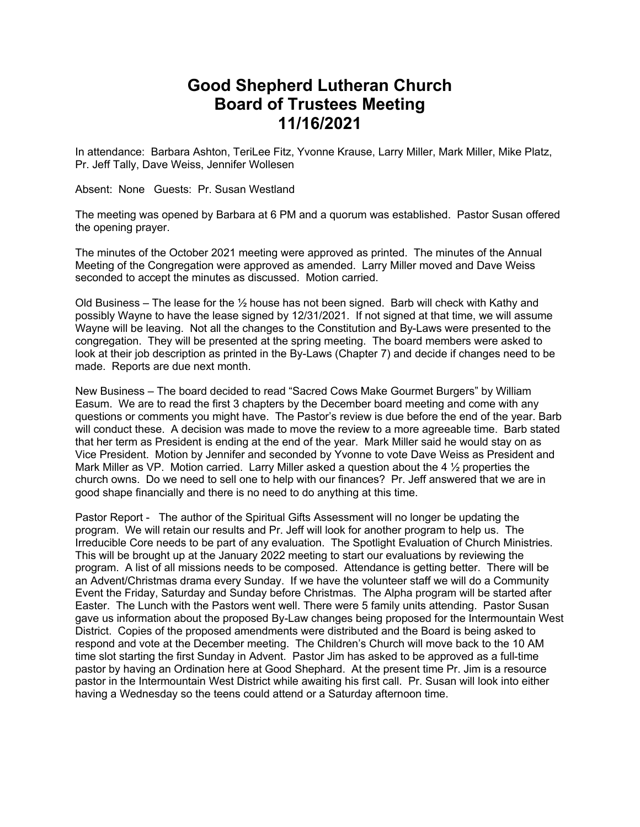## **Good Shepherd Lutheran Church Board of Trustees Meeting 11/16/2021**

In attendance: Barbara Ashton, TeriLee Fitz, Yvonne Krause, Larry Miller, Mark Miller, Mike Platz, Pr. Jeff Tally, Dave Weiss, Jennifer Wollesen

Absent: None Guests: Pr. Susan Westland

The meeting was opened by Barbara at 6 PM and a quorum was established. Pastor Susan offered the opening prayer.

The minutes of the October 2021 meeting were approved as printed. The minutes of the Annual Meeting of the Congregation were approved as amended. Larry Miller moved and Dave Weiss seconded to accept the minutes as discussed. Motion carried.

Old Business – The lease for the  $\frac{1}{2}$  house has not been signed. Barb will check with Kathy and possibly Wayne to have the lease signed by 12/31/2021. If not signed at that time, we will assume Wayne will be leaving. Not all the changes to the Constitution and By-Laws were presented to the congregation. They will be presented at the spring meeting. The board members were asked to look at their job description as printed in the By-Laws (Chapter 7) and decide if changes need to be made. Reports are due next month.

New Business – The board decided to read "Sacred Cows Make Gourmet Burgers" by William Easum. We are to read the first 3 chapters by the December board meeting and come with any questions or comments you might have. The Pastor's review is due before the end of the year. Barb will conduct these. A decision was made to move the review to a more agreeable time. Barb stated that her term as President is ending at the end of the year. Mark Miller said he would stay on as Vice President. Motion by Jennifer and seconded by Yvonne to vote Dave Weiss as President and Mark Miller as VP. Motion carried. Larry Miller asked a question about the 4 ½ properties the church owns. Do we need to sell one to help with our finances? Pr. Jeff answered that we are in good shape financially and there is no need to do anything at this time.

Pastor Report - The author of the Spiritual Gifts Assessment will no longer be updating the program. We will retain our results and Pr. Jeff will look for another program to help us. The Irreducible Core needs to be part of any evaluation. The Spotlight Evaluation of Church Ministries. This will be brought up at the January 2022 meeting to start our evaluations by reviewing the program. A list of all missions needs to be composed. Attendance is getting better. There will be an Advent/Christmas drama every Sunday. If we have the volunteer staff we will do a Community Event the Friday, Saturday and Sunday before Christmas. The Alpha program will be started after Easter. The Lunch with the Pastors went well. There were 5 family units attending. Pastor Susan gave us information about the proposed By-Law changes being proposed for the Intermountain West District. Copies of the proposed amendments were distributed and the Board is being asked to respond and vote at the December meeting. The Children's Church will move back to the 10 AM time slot starting the first Sunday in Advent. Pastor Jim has asked to be approved as a full-time pastor by having an Ordination here at Good Shephard. At the present time Pr. Jim is a resource pastor in the Intermountain West District while awaiting his first call. Pr. Susan will look into either having a Wednesday so the teens could attend or a Saturday afternoon time.